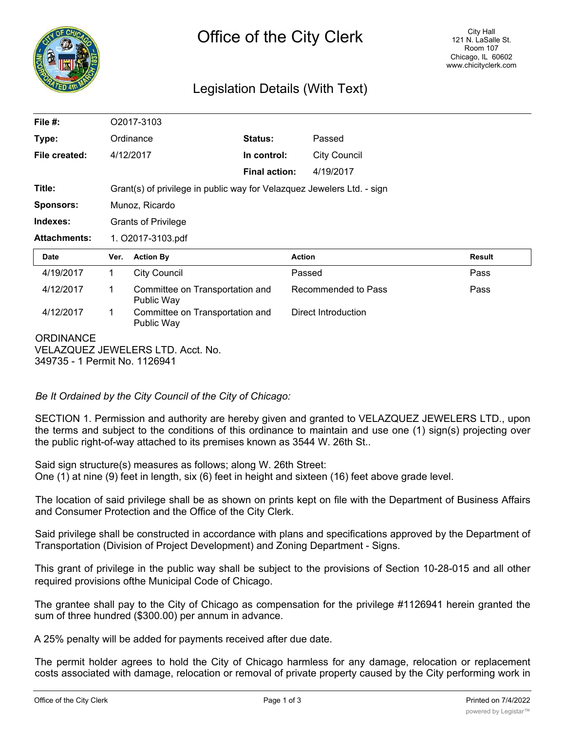

## Legislation Details (With Text)

| File $#$ :                                            |      | O2017-3103                                                             |                      |                     |               |  |
|-------------------------------------------------------|------|------------------------------------------------------------------------|----------------------|---------------------|---------------|--|
| Type:                                                 |      | Ordinance                                                              | Status:              | Passed              |               |  |
| File created:                                         |      | 4/12/2017                                                              | In control:          | <b>City Council</b> |               |  |
|                                                       |      |                                                                        | <b>Final action:</b> | 4/19/2017           |               |  |
| Title:                                                |      | Grant(s) of privilege in public way for Velazquez Jewelers Ltd. - sign |                      |                     |               |  |
| <b>Sponsors:</b>                                      |      | Munoz, Ricardo                                                         |                      |                     |               |  |
| Indexes:                                              |      | <b>Grants of Privilege</b>                                             |                      |                     |               |  |
| <b>Attachments:</b>                                   |      | 1. O2017-3103.pdf                                                      |                      |                     |               |  |
| <b>Date</b>                                           | Ver. | <b>Action By</b>                                                       | <b>Action</b>        |                     | <b>Result</b> |  |
| 4/19/2017                                             | 1    | <b>City Council</b>                                                    | Passed               |                     | Pass          |  |
| 4/12/2017                                             | 1    | Committee on Transportation and<br>Public Way                          |                      | Recommended to Pass | Pass          |  |
| 4/12/2017                                             | 1    | Committee on Transportation and<br>Public Way                          |                      | Direct Introduction |               |  |
| <b>ORDINANCE</b><br>VELAZQUEZ JEWELERS LTD. Acct. No. |      |                                                                        |                      |                     |               |  |

*Be It Ordained by the City Council of the City of Chicago:*

SECTION 1. Permission and authority are hereby given and granted to VELAZQUEZ JEWELERS LTD., upon the terms and subject to the conditions of this ordinance to maintain and use one (1) sign(s) projecting over the public right-of-way attached to its premises known as 3544 W. 26th St..

Said sign structure(s) measures as follows; along W. 26th Street: One (1) at nine (9) feet in length, six (6) feet in height and sixteen (16) feet above grade level.

The location of said privilege shall be as shown on prints kept on file with the Department of Business Affairs and Consumer Protection and the Office of the City Clerk.

Said privilege shall be constructed in accordance with plans and specifications approved by the Department of Transportation (Division of Project Development) and Zoning Department - Signs.

This grant of privilege in the public way shall be subject to the provisions of Section 10-28-015 and all other required provisions ofthe Municipal Code of Chicago.

The grantee shall pay to the City of Chicago as compensation for the privilege #1126941 herein granted the sum of three hundred (\$300.00) per annum in advance.

A 25% penalty will be added for payments received after due date.

The permit holder agrees to hold the City of Chicago harmless for any damage, relocation or replacement costs associated with damage, relocation or removal of private property caused by the City performing work in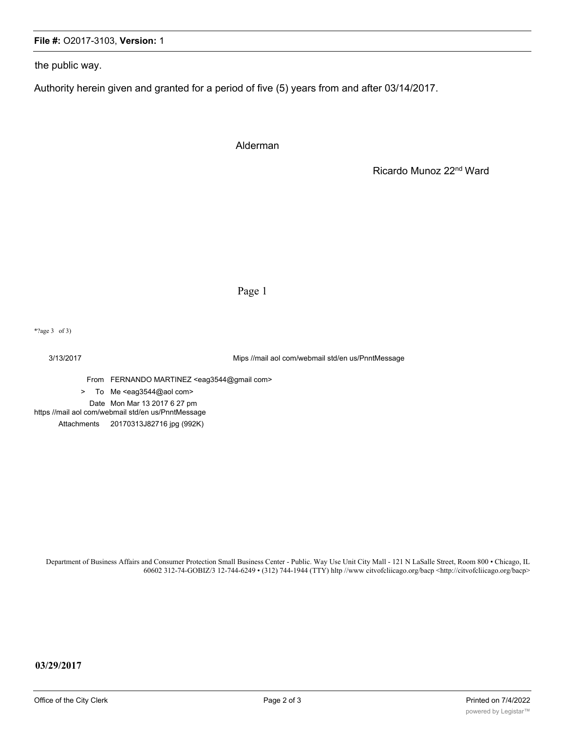## **File #:** O2017-3103, **Version:** 1

the public way.

Authority herein given and granted for a period of five (5) years from and after 03/14/2017.

Alderman

Ricardo Munoz 22nd Ward

Page 1

\*?age 3 of 3)

3/13/2017 Mips //mail aol com/webmail std/en us/PnntMessage

From FERNANDO MARTINEZ <eag3544@gmail com>

> To Me <eag3544@aol com>

Date Mon Mar 13 2017 6 27 pm

https //mail aol com/webmail std/en us/PnntMessage

Attachments 20170313J82716 jpg (992K)

Department of Business Affairs and Consumer Protection Small Business Center - Public. Way Use Unit City Mall - 121 N LaSalle Street, Room 800 • Chicago, IL 60602 312-74-GOBIZ/3 12-744-6249 • (312) 744-1944 (TTY) hltp //www citvofcliicago.org/bacp <http://citvofcliicago.org/bacp>

**03/29/2017**